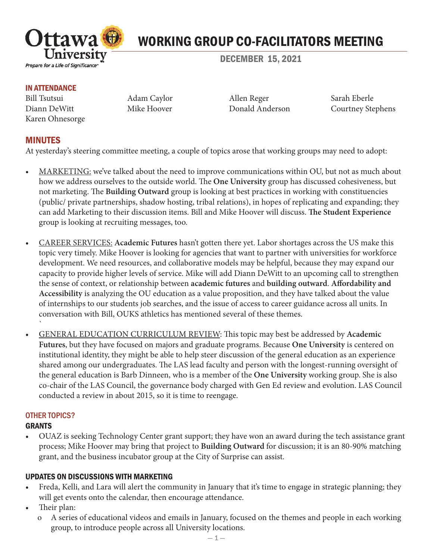

# WORKING GROUP CO-FACILITATORS MEETING

DECEMBER 15, 2021

#### IN ATTENDANCE

Bill Tsutsui Adam Caylor Allen Reger Sarah Eberle Karen Ohnesorge

Diann DeWitt Mike Hoover Donald Anderson Courtney Stephens

## MINUTES

At yesterday's steering committee meeting, a couple of topics arose that working groups may need to adopt:

- MARKETING: we've talked about the need to improve communications within OU, but not as much about how we address ourselves to the outside world. The **One University** group has discussed cohesiveness, but not marketing. The **Building Outward** group is looking at best practices in working with constituencies (public/ private partnerships, shadow hosting, tribal relations), in hopes of replicating and expanding; they can add Marketing to their discussion items. Bill and Mike Hoover will discuss. **The Student Experience** group is looking at recruiting messages, too.
- CAREER SERVICES: **Academic Futures** hasn't gotten there yet. Labor shortages across the US make this topic very timely. Mike Hoover is looking for agencies that want to partner with universities for workforce development. We need resources, and collaborative models may be helpful, because they may expand our capacity to provide higher levels of service. Mike will add Diann DeWitt to an upcoming call to strengthen the sense of context, or relationship between **academic futures** and **building outward**. **Affordability and Accessibility** is analyzing the OU education as a value proposition, and they have talked about the value of internships to our students job searches, and the issue of access to career guidance across all units. In conversation with Bill, OUKS athletics has mentioned several of these themes. `
- GENERAL EDUCATION CURRICULUM REVIEW: This topic may best be addressed by **Academic Futures**, but they have focused on majors and graduate programs. Because **One University** is centered on institutional identity, they might be able to help steer discussion of the general education as an experience shared among our undergraduates. The LAS lead faculty and person with the longest-running oversight of the general education is Barb Dinneen, who is a member of the **One University** working group. She is also co-chair of the LAS Council, the governance body charged with Gen Ed review and evolution. LAS Council conducted a review in about 2015, so it is time to reengage.

#### OTHER TOPICS? GRANTS

• OUAZ is seeking Technology Center grant support; they have won an award during the tech assistance grant process; Mike Hoover may bring that project to **Building Outward** for discussion; it is an 80-90% matching grant, and the business incubator group at the City of Surprise can assist.

### UPDATES ON DISCUSSIONS WITH MARKETING

- Freda, Kelli, and Lara will alert the community in January that it's time to engage in strategic planning; they will get events onto the calendar, then encourage attendance.
- Their plan:
	- o A series of educational videos and emails in January, focused on the themes and people in each working group, to introduce people across all University locations.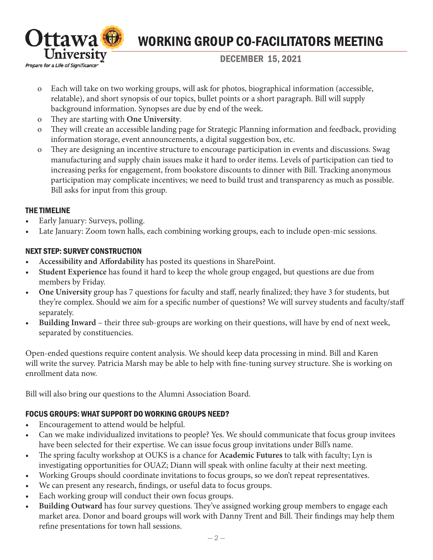

# WORKING GROUP CO-FACILITATORS MEETING

DECEMBER 15, 2021

- o Each will take on two working groups, will ask for photos, biographical information (accessible, relatable), and short synopsis of our topics, bullet points or a short paragraph. Bill will supply background information. Synopses are due by end of the week.
- o They are starting with **One University**.
- o They will create an accessible landing page for Strategic Planning information and feedback, providing information storage, event announcements, a digital suggestion box, etc.
- o They are designing an incentive structure to encourage participation in events and discussions. Swag manufacturing and supply chain issues make it hard to order items. Levels of participation can tied to increasing perks for engagement, from bookstore discounts to dinner with Bill. Tracking anonymous participation may complicate incentives; we need to build trust and transparency as much as possible. Bill asks for input from this group.

### THE TIMELINE

- Early January: Surveys, polling.
- Late January: Zoom town halls, each combining working groups, each to include open-mic sessions.

## NEXT STEP: SURVEY CONSTRUCTION

- **Accessibility and Affordability** has posted its questions in SharePoint.
- **Student Experience** has found it hard to keep the whole group engaged, but questions are due from members by Friday.
- **One University** group has 7 questions for faculty and staff, nearly finalized; they have 3 for students, but they're complex. Should we aim for a specific number of questions? We will survey students and faculty/staff separately.
- **Building Inward** their three sub-groups are working on their questions, will have by end of next week, separated by constituencies.

Open-ended questions require content analysis. We should keep data processing in mind. Bill and Karen will write the survey. Patricia Marsh may be able to help with fine-tuning survey structure. She is working on enrollment data now.

Bill will also bring our questions to the Alumni Association Board.

# FOCUS GROUPS: WHAT SUPPORT DO WORKING GROUPS NEED?

- Encouragement to attend would be helpful.
- Can we make individualized invitations to people? Yes. We should communicate that focus group invitees have been selected for their expertise. We can issue focus group invitations under Bill's name.
- The spring faculty workshop at OUKS is a chance for **Academic Futures** to talk with faculty; Lyn is investigating opportunities for OUAZ; Diann will speak with online faculty at their next meeting.
- Working Groups should coordinate invitations to focus groups, so we don't repeat representatives.
- We can present any research, findings, or useful data to focus groups.
- Each working group will conduct their own focus groups.
- **Building Outward** has four survey questions. They've assigned working group members to engage each market area. Donor and board groups will work with Danny Trent and Bill. Their findings may help them refine presentations for town hall sessions.